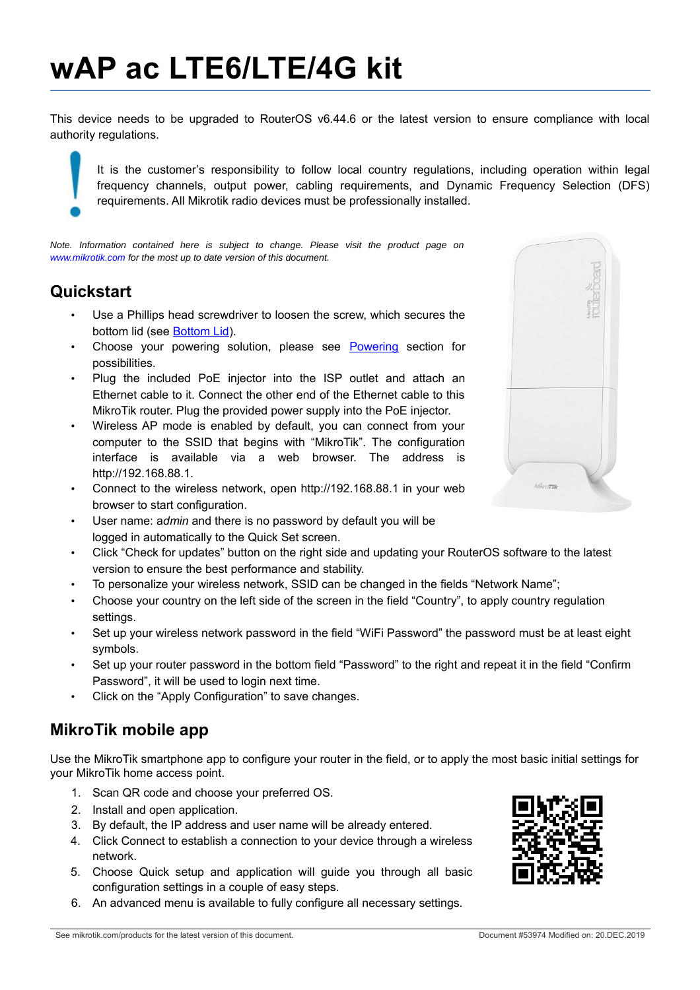# **wAP ac LTE6/LTE/4G kit**

This device needs to be upgraded to RouterOS v6.44.6 or the latest version to ensure compliance with local authority regulations.

It is the customer's responsibility to follow local country regulations, including operation within legal frequency channels, output power, cabling requirements, and Dynamic Frequency Selection (DFS) requirements. All Mikrotik radio devices must be professionally installed.

*Note. Information contained here is subject to change. Please visit the product page on www.mikrotik.com for the most up to date version of this document.*

#### **Quickstart**

- Use a Phillips head screwdriver to loosen the screw, which secures the bottom lid (see [Bottom Lid\)](#page-3-0).
- Choose your powering solution, please see [Powering](#page-1-0) section for possibilities.
- Plug the included PoE injector into the ISP outlet and attach an Ethernet cable to it. Connect the other end of the Ethernet cable to this MikroTik router. Plug the provided power supply into the PoE injector.
- Wireless AP mode is enabled by default, you can connect from your computer to the SSID that begins with "MikroTik". The configuration interface is available via a web browser. The address is http://192.168.88.1.
- Connect to the wireless network, open http://192.168.88.1 in your web browser to start configuration.
- User name: a*dmin* and there is no password by default you will be logged in automatically to the Quick Set screen.
- Click "Check for updates" button on the right side and updating your RouterOS software to the latest version to ensure the best performance and stability.
- To personalize your wireless network, SSID can be changed in the fields "Network Name";
- Choose your country on the left side of the screen in the field "Country", to apply country regulation settings.
- Set up your wireless network password in the field "WiFi Password" the password must be at least eight symbols.
- Set up your router password in the bottom field "Password" to the right and repeat it in the field "Confirm Password", it will be used to login next time.
- Click on the "Apply Configuration" to save changes.

# **MikroTik mobile app**

Use the MikroTik smartphone app to configure your router in the field, or to apply the most basic initial settings for your MikroTik home access point.

- 1. Scan QR code and choose your preferred OS.
- 2. Install and open application.
- 3. By default, the IP address and user name will be already entered.
- 4. Click Connect to establish a connection to your device through a wireless network.
- 5. Choose Quick setup and application will guide you through all basic configuration settings in a couple of easy steps.
- 6. An advanced menu is available to fully configure all necessary settings.



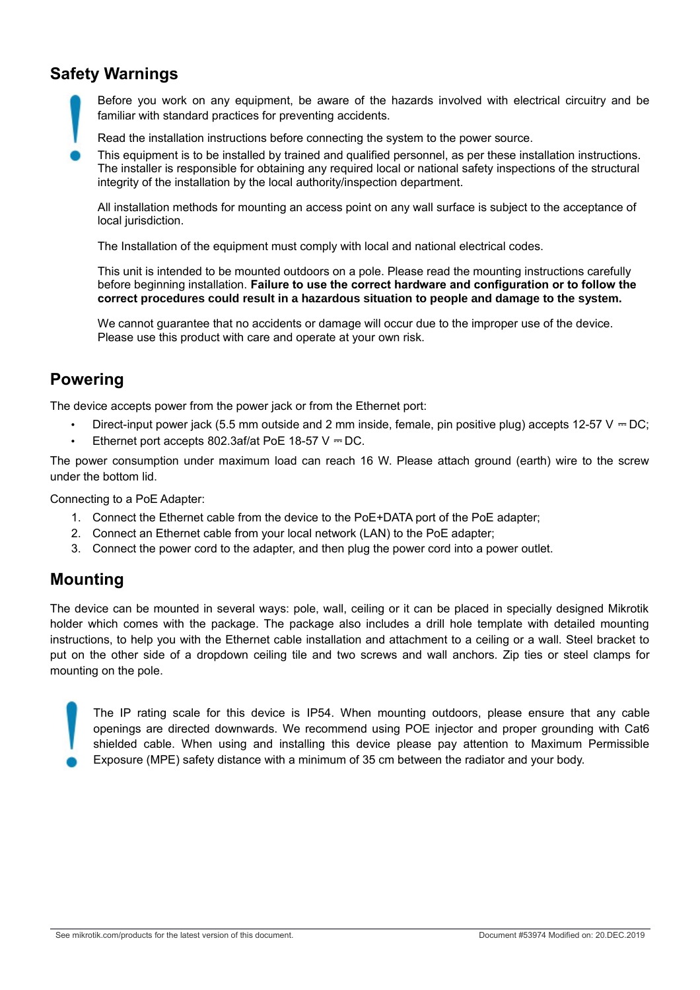### **Safety Warnings**

Before you work on any equipment, be aware of the hazards involved with electrical circuitry and be familiar with standard practices for preventing accidents.

Read the installation instructions before connecting the system to the power source.

This equipment is to be installed by trained and qualified personnel, as per these installation instructions. The installer is responsible for obtaining any required local or national safety inspections of the structural integrity of the installation by the local authority/inspection department.

All installation methods for mounting an access point on any wall surface is subject to the acceptance of local jurisdiction.

The Installation of the equipment must comply with local and national electrical codes.

This unit is intended to be mounted outdoors on a pole. Please read the mounting instructions carefully before beginning installation. **Failure to use the correct hardware and configuration or to follow the correct procedures could result in a hazardous situation to people and damage to the system.**

We cannot guarantee that no accidents or damage will occur due to the improper use of the device. Please use this product with care and operate at your own risk.

#### <span id="page-1-0"></span>**Powering**

The device accepts power from the power jack or from the Ethernet port:

- Direct-input power jack (5.5 mm outside and 2 mm inside, female, pin positive plug) accepts 12-57 V  $-$  DC;
- Ethernet port accepts 802.3af/at PoE 18-57  $V = DC$ .

The power consumption under maximum load can reach 16 W. Please attach ground (earth) wire to the screw under the bottom lid.

Connecting to a PoE Adapter:

- 1. Connect the Ethernet cable from the device to the PoE+DATA port of the PoE adapter;
- 2. Connect an Ethernet cable from your local network (LAN) to the PoE adapter;
- 3. Connect the power cord to the adapter, and then plug the power cord into a power outlet.

#### **Mounting**

The device can be mounted in several ways: pole, wall, ceiling or it can be placed in specially designed Mikrotik holder which comes with the package. The package also includes a drill hole template with detailed mounting instructions, to help you with the Ethernet cable installation and attachment to a ceiling or a wall. Steel bracket to put on the other side of a dropdown ceiling tile and two screws and wall anchors. Zip ties or steel clamps for mounting on the pole.

The IP rating scale for this device is IP54. When mounting outdoors, please ensure that any cable openings are directed downwards. We recommend using POE injector and proper grounding with Cat6 shielded cable. When using and installing this device please pay attention to Maximum Permissible Exposure (MPE) safety distance with a minimum of 35 cm between the radiator and your body.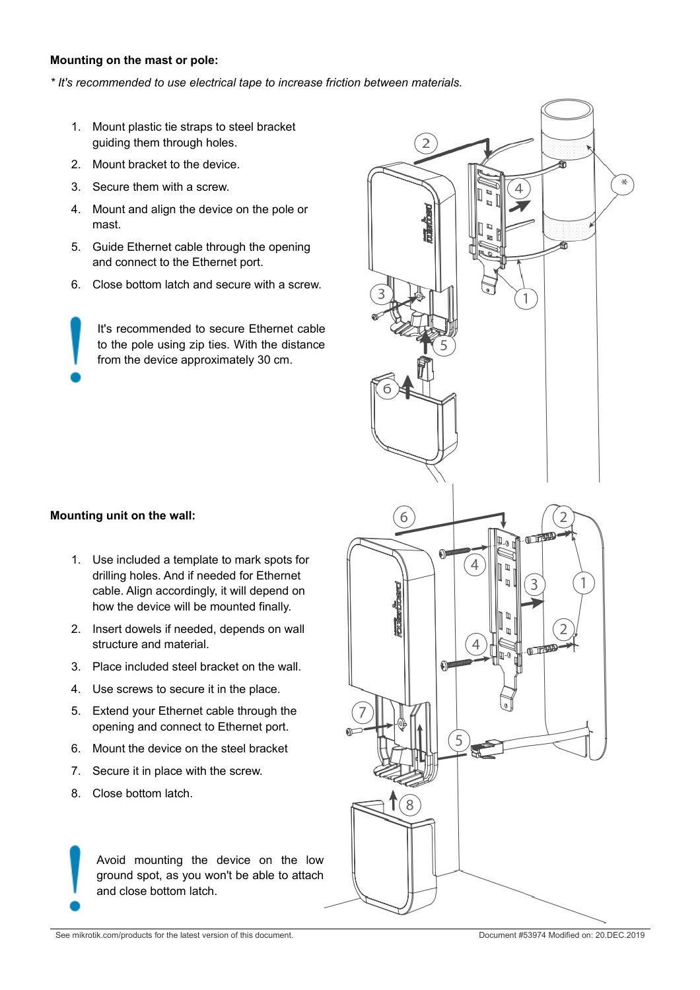#### **Mounting on the mast or pole:**

*\* It's recommended to use electrical tape to increase friction between materials.*

- 1. Mount plastic tie straps to steel bracket guiding them through holes.
- 2. Mount bracket to the device.
- 3. Secure them with a screw.
- 4. Mount and align the device on the pole or mast.
- 5. Guide Ethernet cable through the opening and connect to the Ethernet port.
- 6. Close bottom latch and secure with a screw.

It's recommended to secure Ethernet cable to the pole using zip ties. With the distance from the device approximately 30 cm.

#### **Mounting unit on the wall:**

- 1. Use included a template to mark spots for drilling holes. And if needed for Ethernet cable. Align accordingly, it will depend on how the device will be mounted finally.
- 2. Insert dowels if needed, depends on wall structure and material.
- 3. Place included steel bracket on the wall.
- 4. Use screws to secure it in the place.
- 5. Extend your Ethernet cable through the opening and connect to Ethernet port.
- 6. Mount the device on the steel bracket
- 7. Secure it in place with the screw.
- 8. Close bottom latch.

Avoid mounting the device on the low ground spot, as you won't be able to attach and close bottom latch.

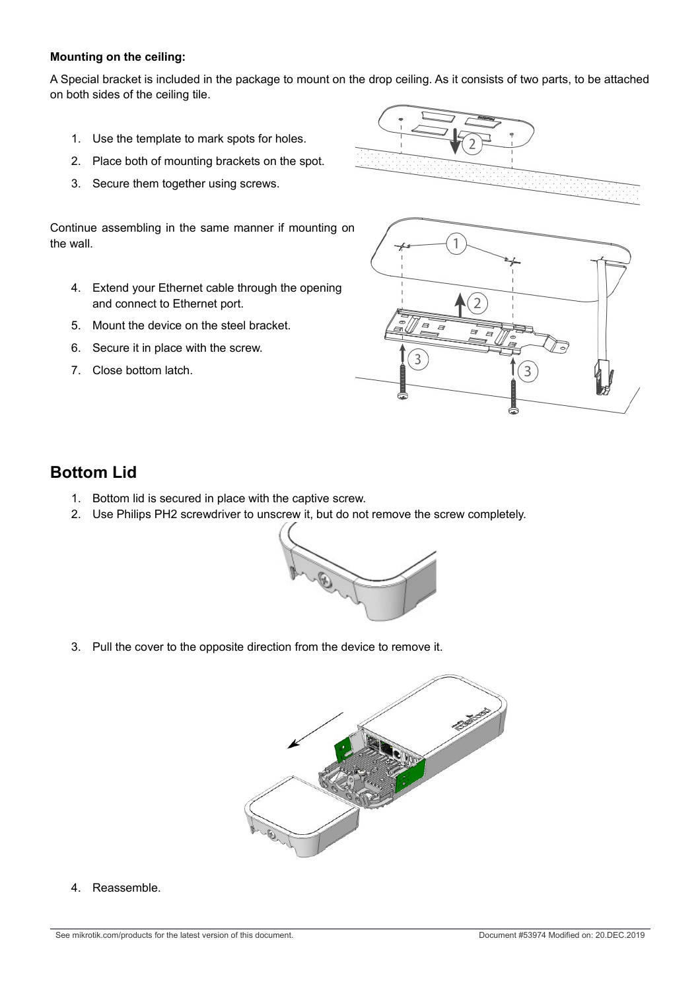#### **Mounting on the ceiling:**

A Special bracket is included in the package to mount on the drop ceiling. As it consists of two parts, to be attached on both sides of the ceiling tile.

- 1. Use the template to mark spots for holes.
- 2. Place both of mounting brackets on the spot.
- 3. Secure them together using screws.

Continue assembling in the same manner if mounting on the wall.

- 4. Extend your Ethernet cable through the opening and connect to Ethernet port.
- 5. Mount the device on the steel bracket.
- 6. Secure it in place with the screw.
- 7. Close bottom latch.



3

#### <span id="page-3-0"></span>**Bottom Lid**

- 1. Bottom lid is secured in place with the captive screw.
- 2. Use Philips PH2 screwdriver to unscrew it, but do not remove the screw completely.



3

3. Pull the cover to the opposite direction from the device to remove it.



4. Reassemble.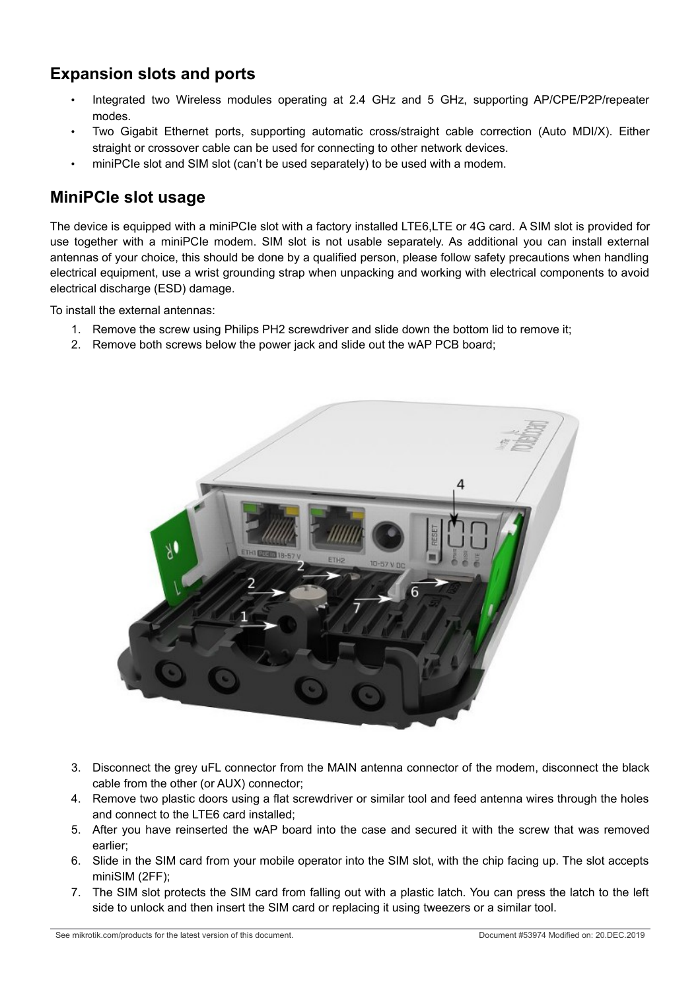# **Expansion slots and ports**

- Integrated two Wireless modules operating at 2.4 GHz and 5 GHz, supporting AP/CPE/P2P/repeater modes.
- Two Gigabit Ethernet ports, supporting automatic cross/straight cable correction (Auto MDI/X). Either straight or crossover cable can be used for connecting to other network devices.
- miniPCIe slot and SIM slot (can't be used separately) to be used with a modem.

#### **MiniPCIe slot usage**

The device is equipped with a miniPCIe slot with a factory installed LTE6,LTE or 4G card. A SIM slot is provided for use together with a miniPCIe modem. SIM slot is not usable separately. As additional you can install external antennas of your choice, this should be done by a qualified person, please follow safety precautions when handling electrical equipment, use a wrist grounding strap when unpacking and working with electrical components to avoid electrical discharge (ESD) damage.

To install the external antennas:

- 1. Remove the screw using Philips PH2 screwdriver and slide down the bottom lid to remove it;
- 2. Remove both screws below the power jack and slide out the wAP PCB board;



- 3. Disconnect the grey uFL connector from the MAIN antenna connector of the modem, disconnect the black cable from the other (or AUX) connector;
- 4. Remove two plastic doors using a flat screwdriver or similar tool and feed antenna wires through the holes and connect to the LTE6 card installed;
- 5. After you have reinserted the wAP board into the case and secured it with the screw that was removed earlier;
- 6. Slide in the SIM card from your mobile operator into the SIM slot, with the chip facing up. The slot accepts miniSIM (2FF);
- 7. The SIM slot protects the SIM card from falling out with a plastic latch. You can press the latch to the left side to unlock and then insert the SIM card or replacing it using tweezers or a similar tool.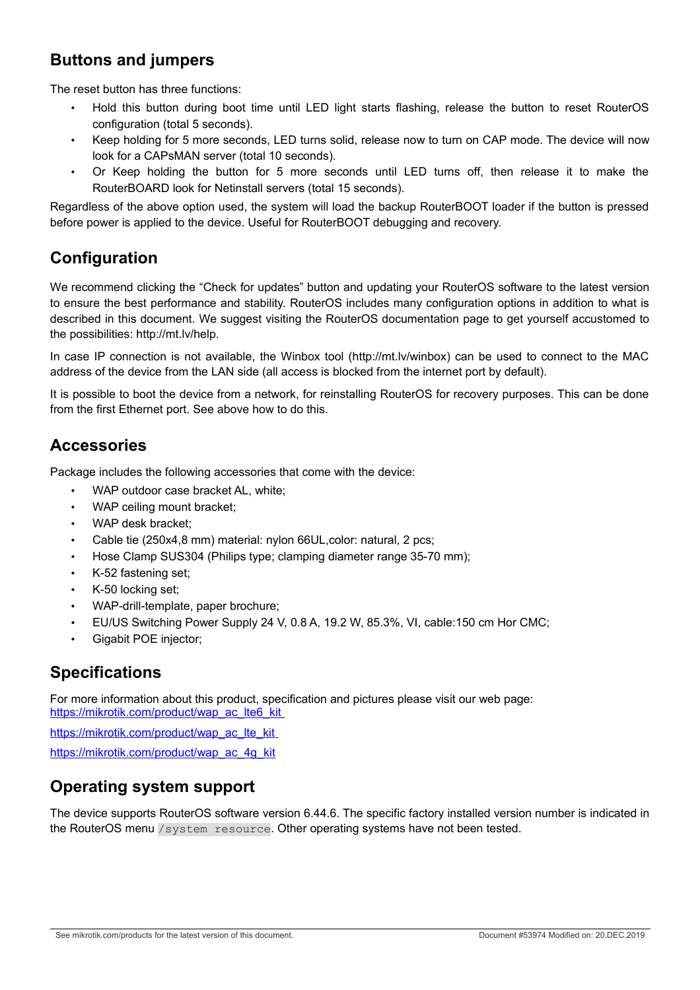# **Buttons and jumpers**

The reset button has three functions:

- Hold this button during boot time until LED light starts flashing, release the button to reset RouterOS configuration (total 5 seconds).
- Keep holding for 5 more seconds, LED turns solid, release now to turn on CAP mode. The device will now look for a CAPsMAN server (total 10 seconds).
- Or Keep holding the button for 5 more seconds until LED turns off, then release it to make the RouterBOARD look for Netinstall servers (total 15 seconds).

Regardless of the above option used, the system will load the backup RouterBOOT loader if the button is pressed before power is applied to the device. Useful for RouterBOOT debugging and recovery.

# **Configuration**

We recommend clicking the "Check for updates" button and updating your RouterOS software to the latest version to ensure the best performance and stability. RouterOS includes many configuration options in addition to what is described in this document. We suggest visiting the RouterOS documentation page to get yourself accustomed to the possibilities: http://mt.lv/help.

In case IP connection is not available, the Winbox tool (http://mt.lv/winbox) can be used to connect to the MAC address of the device from the LAN side (all access is blocked from the internet port by default).

It is possible to boot the device from a network, for reinstalling RouterOS for recovery purposes. This can be done from the first Ethernet port. See above how to do this.

### **Accessories**

Package includes the following accessories that come with the device:

- WAP outdoor case bracket AL, white:
- WAP ceiling mount bracket;
- WAP desk bracket;
- Cable tie (250x4,8 mm) material: nylon 66UL,color: natural, 2 pcs;
- Hose Clamp SUS304 (Philips type; clamping diameter range 35-70 mm);
- K-52 fastening set;
- K-50 locking set;
- WAP-drill-template, paper brochure;
- EU/US Switching Power Supply 24 V, 0.8 A, 19.2 W, 85.3%, VI, cable:150 cm Hor CMC;
- Gigabit POE injector;

# **Specifications**

For more information about this product, specification and pictures please visit our web page: https://mikrotik.com/product/wap\_ac\_lte6\_kit

[https://mikrotik.com/product/wap\\_ac\\_lte\\_kit](https://mikrotik.com/product/wap_ac_lte_kit)

[https://mikrotik.com/product/wap\\_ac\\_4g\\_kit](https://mikrotik.com/product/wap_ac_4g_kit)

# **Operating system support**

The device supports RouterOS software version 6.44.6. The specific factory installed version number is indicated in the RouterOS menu /system resource. Other operating systems have not been tested.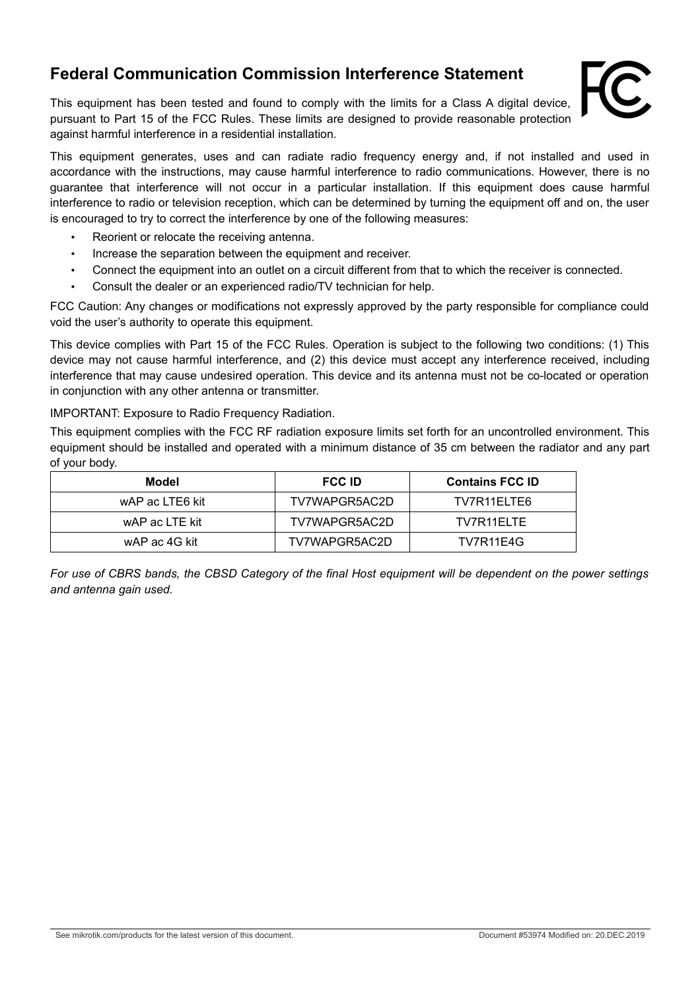### **Federal Communication Commission Interference Statement**

This equipment has been tested and found to comply with the limits for a Class A digital device, pursuant to Part 15 of the FCC Rules. These limits are designed to provide reasonable protection against harmful interference in a residential installation.



This equipment generates, uses and can radiate radio frequency energy and, if not installed and used in accordance with the instructions, may cause harmful interference to radio communications. However, there is no guarantee that interference will not occur in a particular installation. If this equipment does cause harmful interference to radio or television reception, which can be determined by turning the equipment off and on, the user is encouraged to try to correct the interference by one of the following measures:

- Reorient or relocate the receiving antenna.
- Increase the separation between the equipment and receiver.
- Connect the equipment into an outlet on a circuit different from that to which the receiver is connected.
- Consult the dealer or an experienced radio/TV technician for help.

FCC Caution: Any changes or modifications not expressly approved by the party responsible for compliance could void the user's authority to operate this equipment.

This device complies with Part 15 of the FCC Rules. Operation is subject to the following two conditions: (1) This device may not cause harmful interference, and (2) this device must accept any interference received, including interference that may cause undesired operation. This device and its antenna must not be co-located or operation in conjunction with any other antenna or transmitter.

IMPORTANT: Exposure to Radio Frequency Radiation.

This equipment complies with the FCC RF radiation exposure limits set forth for an uncontrolled environment. This equipment should be installed and operated with a minimum distance of 35 cm between the radiator and any part of your body.

| Model           | <b>FCC ID</b> | <b>Contains FCC ID</b> |
|-----------------|---------------|------------------------|
| wAP ac LTE6 kit | TV7WAPGR5AC2D | TV7R11ELTE6            |
| wAP ac LTE kit  | TV7WAPGR5AC2D | TV7R11FLTF             |
| wAP ac 4G kit   | TV7WAPGR5AC2D | TV7R11E4G              |

*For use of CBRS bands, the CBSD Category of the final Host equipment will be dependent on the power settings and antenna gain used.*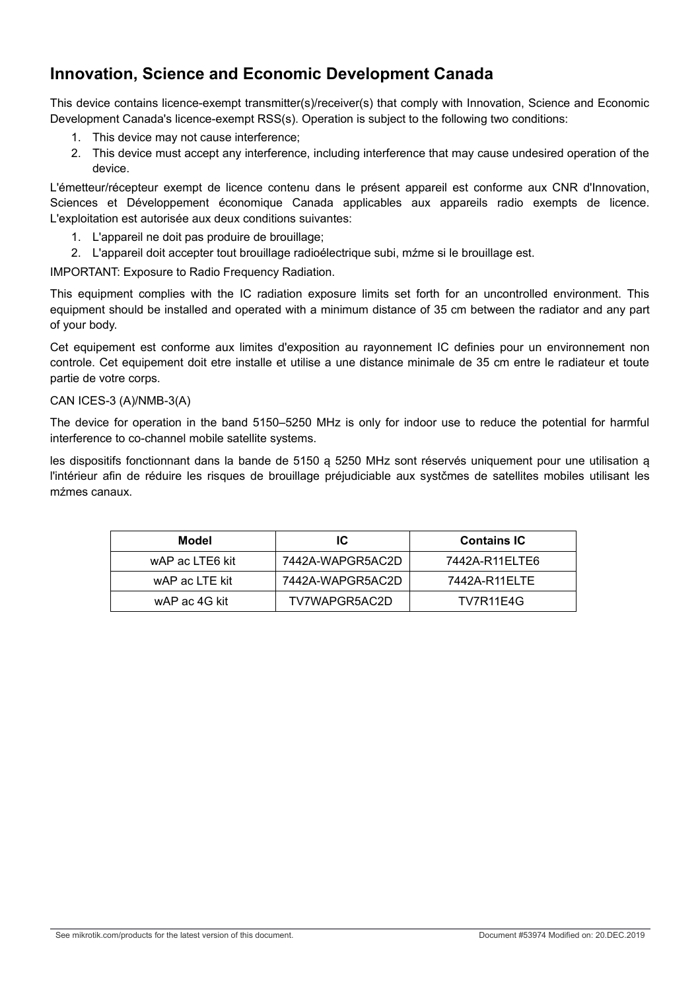# **Innovation, Science and Economic Development Canada**

This device contains licence-exempt transmitter(s)/receiver(s) that comply with Innovation, Science and Economic Development Canada's licence-exempt RSS(s). Operation is subject to the following two conditions:

- 1. This device may not cause interference;
- 2. This device must accept any interference, including interference that may cause undesired operation of the device.

L'émetteur/récepteur exempt de licence contenu dans le présent appareil est conforme aux CNR d'Innovation, Sciences et Développement économique Canada applicables aux appareils radio exempts de licence. L'exploitation est autorisée aux deux conditions suivantes:

- 1. L'appareil ne doit pas produire de brouillage;
- 2. L'appareil doit accepter tout brouillage radioélectrique subi, mźme si le brouillage est.

IMPORTANT: Exposure to Radio Frequency Radiation.

This equipment complies with the IC radiation exposure limits set forth for an uncontrolled environment. This equipment should be installed and operated with a minimum distance of 35 cm between the radiator and any part of your body.

Cet equipement est conforme aux limites d'exposition au rayonnement IC definies pour un environnement non controle. Cet equipement doit etre installe et utilise a une distance minimale de 35 cm entre le radiateur et toute partie de votre corps.

#### CAN ICES-3 (A)/NMB-3(A)

The device for operation in the band 5150–5250 MHz is only for indoor use to reduce the potential for harmful interference to co-channel mobile satellite systems.

les dispositifs fonctionnant dans la bande de 5150 ą 5250 MHz sont réservés uniquement pour une utilisation ą l'intérieur afin de réduire les risques de brouillage préjudiciable aux systčmes de satellites mobiles utilisant les mźmes canaux.

| Model           | IC               | <b>Contains IC</b> |
|-----------------|------------------|--------------------|
| wAP ac LTE6 kit | 7442A-WAPGR5AC2D | 7442A-R11ELTE6     |
| wAP ac LTE kit  | 7442A-WAPGR5AC2D | 7442A-R11ELTE      |
| wAP ac 4G kit   | TV7WAPGR5AC2D    | TV7R11E4G          |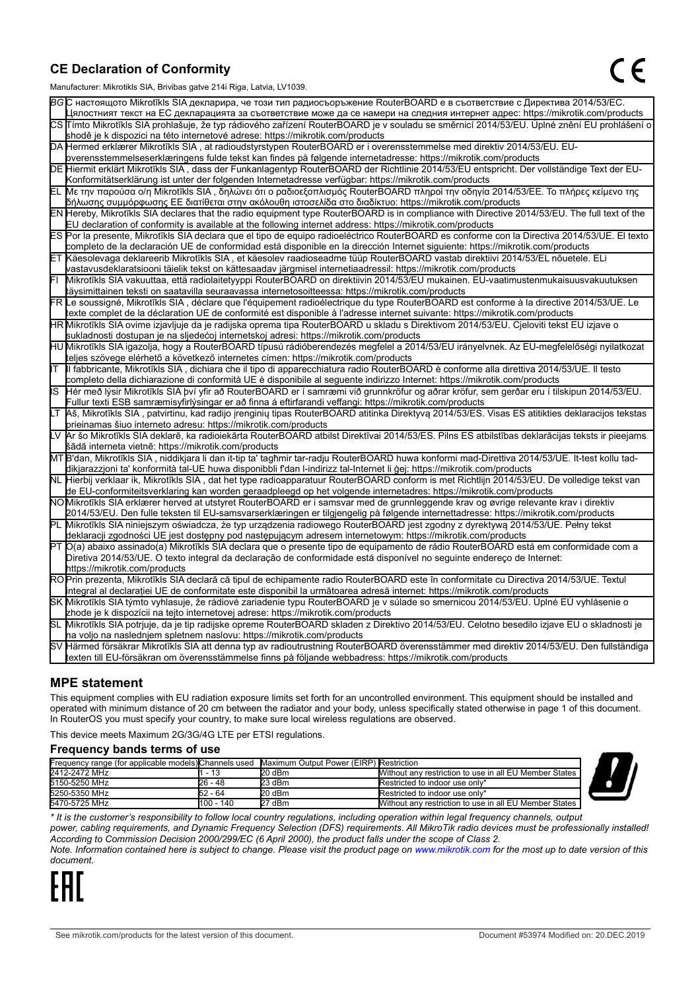#### **CE Declaration of Conformity**

Manufacturer: Mikrotikls SIA, Brivibas gatve 214i Riga, Latvia, LV1039.

|    | $m$ ananao $m$ . Iviini olinis Oli I, Drivibas yatvo $L$ i $\pi$ i Tiiga, Latvia, Lv Toos.                                                                                                                                                       |
|----|--------------------------------------------------------------------------------------------------------------------------------------------------------------------------------------------------------------------------------------------------|
|    | ВСС настоящото Mikrotīkls SIA декларира, че този тип радиосъоръжение RouterBOARD е в съответствие с Директива 2014/53/EC.                                                                                                                        |
|    | Цялостният текст на ЕС декларацията за съответствие може да се намери на следния интернет адрес: https://mikrotik.com/products                                                                                                                   |
|    | CS Tímto Mikrotīkls SIA prohlašuje, že typ rádiového zařízení RouterBOARD je v souladu se směrnicí 2014/53/EU. Úplné znění EU prohlášení o                                                                                                       |
|    | shodě je k dispozici na této internetové adrese: https://mikrotik.com/products                                                                                                                                                                   |
|    | DA Hermed erklærer Mikrotīkls SIA, at radioudstyrstypen RouterBOARD er i overensstemmelse med direktiv 2014/53/EU. EU-                                                                                                                           |
|    | overensstemmelseserklæringens fulde tekst kan findes på følgende internetadresse: https://mikrotik.com/products                                                                                                                                  |
|    | DE Hiermit erklärt Mikrotīkls SIA, dass der Funkanlagentyp RouterBOARD der Richtlinie 2014/53/EU entspricht. Der vollständige Text der EU-                                                                                                       |
|    | Konformitätserklärung ist unter der folgenden Internetadresse verfügbar: https://mikrotik.com/products                                                                                                                                           |
|    | ΕL Με την παρούσα ο/η Mikrotīkls SIA , δηλώνει ότι ο ραδιοεξοπλισμός RouterBOARD πληροί την οδηγία 2014/53/ΕΕ. Το πλήρες κείμενο της<br> δήλωσης συμμόρφωσης ΕΕ διατίθεται στην ακόλουθη ιστοσελίδα στο διαδίκτυο: https://mikrotik.com/products |
|    | EN Hereby, Mikrotīkls SIA declares that the radio equipment type RouterBOARD is in compliance with Directive 2014/53/EU. The full text of the                                                                                                    |
|    | EU declaration of conformity is available at the following internet address: https://mikrotik.com/products                                                                                                                                       |
|    | ES Por la presente, Mikrotīkls SIA declara que el tipo de equipo radioeléctrico RouterBOARD es conforme con la Directiva 2014/53/UE. El texto                                                                                                    |
|    | completo de la declaración UE de conformidad está disponible en la dirección Internet siguiente: https://mikrotik.com/products                                                                                                                   |
|    | ET Käesolevaga deklareerib Mikrotīkls SIA, et käesolev raadioseadme tüüp RouterBOARD vastab direktiivi 2014/53/EL nõuetele. ELi                                                                                                                  |
|    | vastavusdeklaratsiooni täielik tekst on kättesaadav järgmisel internetiaadressil: https://mikrotik.com/products                                                                                                                                  |
|    | Mikrotīkls SIA vakuuttaa, että radiolaitetyyppi RouterBOARD on direktiivin 2014/53/EU mukainen. EU-vaatimustenmukaisuusvakuutuksen                                                                                                               |
|    | täysimittainen teksti on saatavilla seuraavassa internetosoitteessa: https://mikrotik.com/products                                                                                                                                               |
|    | FR Le soussigné, Mikrotīkls SIA, déclare que l'équipement radioélectrique du type RouterBOARD est conforme à la directive 2014/53/UE. Le                                                                                                         |
|    | texte complet de la déclaration UE de conformité est disponible à l'adresse internet suivante: https://mikrotik.com/products                                                                                                                     |
|    | HR Mikrotīkls SIA ovime izjavljuje da je radijska oprema tipa RouterBOARD u skladu s Direktivom 2014/53/EU. Cjeloviti tekst EU izjave o                                                                                                          |
|    | sukladnosti dostupan je na sljedećoj internetskoj adresi: https://mikrotik.com/products                                                                                                                                                          |
|    | HU Mikrotīkls SIA igazolja, hogy a RouterBOARD típusú rádióberendezés megfelel a 2014/53/EU irányelvnek. Az EU-megfelelőségi nyilatkozat                                                                                                         |
|    | teljes szövege elérhető a következő internetes címen: https://mikrotik.com/products                                                                                                                                                              |
| lΤ | Il fabbricante, Mikrotīkls SIA, dichiara che il tipo di apparecchiatura radio RouterBOARD è conforme alla direttiva 2014/53/UE. Il testo                                                                                                         |
|    | completo della dichiarazione di conformità UE è disponibile al seguente indirizzo Internet: https://mikrotik.com/products                                                                                                                        |
| IS | Hér með lýsir Mikrotīkls SIA því yfir að RouterBOARD er í samræmi við grunnkröfur og aðrar kröfur, sem gerðar eru í tilskipun 2014/53/EU.                                                                                                        |
|    | Fullur texti ESB samræmisyfirlýsingar er að finna á eftirfarandi veffangi: https://mikrotik.com/products                                                                                                                                         |
|    | LT Aš, Mikrotīkls SIA, patvirtinu, kad radijo įrenginių tipas RouterBOARD atitinka Direktyvą 2014/53/ES. Visas ES atitikties deklaracijos tekstas<br>prieinamas šiuo interneto adresu: https://mikrotik.com/products                             |
|    | Ar šo Mikrotīkls SIA deklarē, ka radioiekārta RouterBOARD atbilst Direktīvai 2014/53/ES. Pilns ES atbilstības deklarācijas teksts ir pieejams                                                                                                    |
|    | šādā interneta vietnē: https://mikrotik.com/products                                                                                                                                                                                             |
|    | MT B'dan, Mikrotīkls SIA, niddikjara li dan it-tip ta' tagħmir tar-radju RouterBOARD huwa konformi mad-Direttiva 2014/53/UE. It-test kollu tad-                                                                                                  |
|    | dikjarazzjoni ta' konformità tal-UE huwa disponibbli f'dan l-indirizz tal-Internet li ġej: https://mikrotik.com/products                                                                                                                         |
|    | NL Hierbij verklaar ik, Mikrotīkls SIA , dat het type radioapparatuur RouterBOARD conform is met Richtlijn 2014/53/EU. De volledige tekst van                                                                                                    |
|    | de EU-conformiteitsverklaring kan worden geraadpleegd op het volgende internetadres: https://mikrotik.com/products                                                                                                                               |
|    | NOMikrotīkls SIA erklærer herved at utstyret RouterBOARD er i samsvar med de grunnleggende krav og øvrige relevante krav i direktiv                                                                                                              |
|    | 2014/53/EU. Den fulle teksten til EU-samsvarserklæringen er tilgjengelig på følgende internettadresse: https://mikrotik.com/products                                                                                                             |
|    | PL Mikrotīkls SIA niniejszym oświadcza, że typ urządzenia radiowego RouterBOARD jest zgodny z dyrektywą 2014/53/UE. Pełny tekst                                                                                                                  |
|    | deklaracji zgodności UE jest dostępny pod następującym adresem internetowym: https://mikrotik.com/products                                                                                                                                       |
|    | PT O(a) abaixo assinado(a) Mikrotīkls SIA declara que o presente tipo de equipamento de rádio RouterBOARD está em conformidade com a                                                                                                             |
|    | Diretiva 2014/53/UE. O texto integral da declaração de conformidade está disponível no seguinte endereço de Internet:                                                                                                                            |
|    | https://mikrotik.com/products                                                                                                                                                                                                                    |
|    | ROPrin prezenta, Mikrotīkls SIA declară că tipul de echipamente radio RouterBOARD este în conformitate cu Directiva 2014/53/UE. Textul                                                                                                           |
|    | integral al declarației UE de conformitate este disponibil la următoarea adresă internet: https://mikrotik.com/products                                                                                                                          |
|    | SK Mikrotīkls SIA týmto vyhlasuje, že rádiové zariadenie typu RouterBOARD je v súlade so smernicou 2014/53/EÚ. Úplné EÚ vyhlásenie o                                                                                                             |
|    | zhode je k dispozícii na tejto internetovej adrese: https://mikrotik.com/products                                                                                                                                                                |
|    | SL Mikrotīkls SIA potrjuje, da je tip radijske opreme RouterBOARD skladen z Direktivo 2014/53/EU. Celotno besedilo izjave EU o skladnosti je                                                                                                     |
|    | na voljo na naslednjem spletnem naslovu: https://mikrotik.com/products                                                                                                                                                                           |
|    | SV Härmed försäkrar Mikrotīkls SIA att denna typ av radioutrustning RouterBOARD överensstämmer med direktiv 2014/53/EU. Den fullständiga                                                                                                         |
|    | texten till EU-försäkran om överensstämmelse finns på följande webbadress: https://mikrotik.com/products                                                                                                                                         |

#### **MPE statement**

This equipment complies with EU radiation exposure limits set forth for an uncontrolled environment. This equipment should be installed and operated with minimum distance of 20 cm between the radiator and your body, unless specifically stated otherwise in page 1 of this document. In RouterOS you must specify your country, to make sure local wireless regulations are observed.

This device meets Maximum 2G/3G/4G LTE per ETSI regulations.

#### **Frequency bands terms of use**

|               |           | Frequency range (for applicable models) Channels used Maximum Output Power (EIRP) Restriction |                                                        |  |
|---------------|-----------|-----------------------------------------------------------------------------------------------|--------------------------------------------------------|--|
| 2412-2472 MHz |           | 20 dBm                                                                                        | Without any restriction to use in all EU Member States |  |
| 5150-5250 MHz | 26 - 48   | 23 dBm                                                                                        | Restricted to indoor use only*                         |  |
| 5250-5350 MHz | 52 - 64   | 20 dBm                                                                                        | Restricted to indoor use only*                         |  |
| 5470-5725 MHz | 100 - 140 | 27 dBm                                                                                        | Without any restriction to use in all EU Member States |  |



*\* It is the customer's responsibility to follow local country regulations, including operation within legal frequency channels, output*

*power, cabling requirements, and Dynamic Frequency Selection (DFS) requirements. All MikroTik radio devices must be professionally installed! According to Commission Decision 2000/299/EC (6 April 2000), the product falls under the scope of Class 2.* 

*Note. Information contained here is subject to change. Please visit the product page on [www.mikrotik.com](http://www.mikrotik.com/) for the most up to date version of this document.*